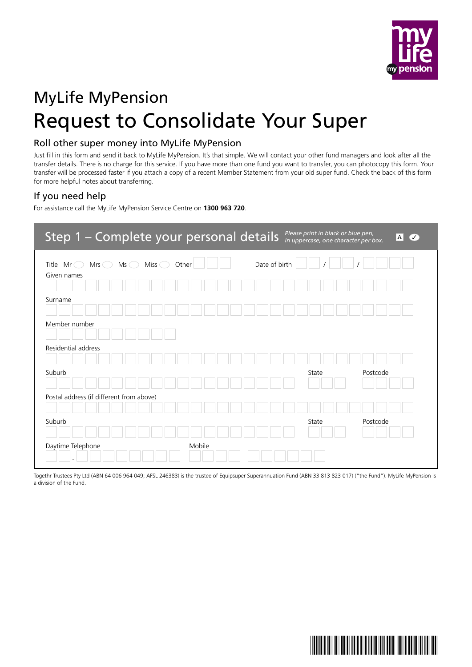

# MyLife MyPension Request to Consolidate Your Super

# Roll other super money into MyLife MyPension

Just fill in this form and send it back to MyLife MyPension. It's that simple. We will contact your other fund managers and look after all the transfer details. There is no charge for this service. If you have more than one fund you want to transfer, you can photocopy this form. Your transfer will be processed faster if you attach a copy of a recent Member Statement from your old super fund. Check the back of this form for more helpful notes about transferring.

# If you need help

For assistance call the MyLife MyPension Service Centre on **1300 963 720**.

| Step 1 - Complete your personal details                                                |                        | Please print in black or blue pen,<br> A <br>$\overline{\mathcal{C}}$<br>in uppercase, one character per box. |
|----------------------------------------------------------------------------------------|------------------------|---------------------------------------------------------------------------------------------------------------|
| Miss $\bigcirc$<br>Title $Mr \odot$<br>$Mrs$ $\bigcirc$<br>$Ms \subset$<br>Given names | Date of birth<br>Other |                                                                                                               |
|                                                                                        |                        |                                                                                                               |
| Surname                                                                                |                        |                                                                                                               |
| Member number                                                                          |                        |                                                                                                               |
| Residential address                                                                    |                        |                                                                                                               |
| Suburb                                                                                 |                        | State<br>Postcode                                                                                             |
| Postal address (if different from above)                                               |                        |                                                                                                               |
|                                                                                        |                        |                                                                                                               |
| Suburb                                                                                 |                        | State<br>Postcode                                                                                             |
| Daytime Telephone                                                                      | Mobile                 |                                                                                                               |

Togethr Trustees Pty Ltd (ABN 64 006 964 049; AFSL 246383) is the trustee of Equipsuper Superannuation Fund (ABN 33 813 823 017) ("the Fund"). MyLife MyPension is a division of the Fund.

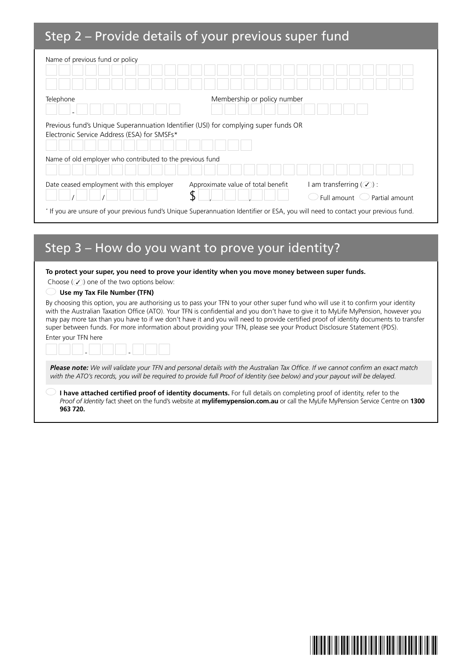# Step 2 – Provide details of your previous super fund

| Name of previous fund or policy                                                                                                    |                                    |                                                                      |  |  |  |  |
|------------------------------------------------------------------------------------------------------------------------------------|------------------------------------|----------------------------------------------------------------------|--|--|--|--|
| Telephone                                                                                                                          | Membership or policy number        |                                                                      |  |  |  |  |
| Previous fund's Unique Superannuation Identifier (USI) for complying super funds OR<br>Electronic Service Address (ESA) for SMSFs* |                                    |                                                                      |  |  |  |  |
| Name of old employer who contributed to the previous fund                                                                          |                                    |                                                                      |  |  |  |  |
| Date ceased employment with this employer                                                                                          | Approximate value of total benefit | I am transferring $(\mathcal{V})$ :<br>Full amount<br>Partial amount |  |  |  |  |
| * If you are unsure of your previous fund's Unique Superannuation Identifier or ESA, you will need to contact your previous fund.  |                                    |                                                                      |  |  |  |  |

# Step 3 – How do you want to prove your identity?

#### **To protect your super, you need to prove your identity when you move money between super funds.**

Choose  $(\mathcal{V})$  one of the two options below:

#### **Use my Tax File Number (TFN)**

By choosing this option, you are authorising us to pass your TFN to your other super fund who will use it to confirm your identity with the Australian Taxation Office (ATO). Your TFN is confidential and you don't have to give it to MyLife MyPension, however you may pay more tax than you have to if we don't have it and you will need to provide certified proof of identity documents to transfer super between funds. For more information about providing your TFN, please see your Product Disclosure Statement (PDS).

| Enter your TFN here |   |   |  |
|---------------------|---|---|--|
|                     | - | - |  |

*Please note: We will validate your TFN and personal details with the Australian Tax Office. If we cannot confirm an exact match with the ATO's records, you will be required to provide full Proof of Identity (see below) and your payout will be delayed.*

 **I have attached certified proof of identity documents.** For full details on completing proof of identity, refer to the *Proof of Identity* fact sheet on the fund's website at **mylifemypension.com.au** or call the MyLife MyPension Service Centre on **1300 963 720.**

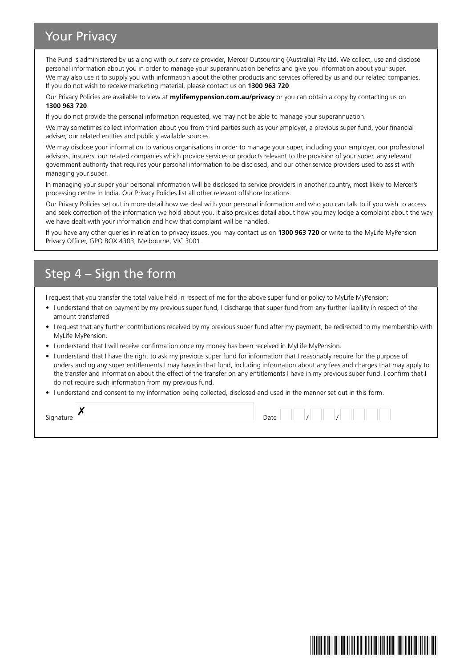# Your Privacy

The Fund is administered by us along with our service provider, Mercer Outsourcing (Australia) Pty Ltd. We collect, use and disclose personal information about you in order to manage your superannuation benefits and give you information about your super. We may also use it to supply you with information about the other products and services offered by us and our related companies. If you do not wish to receive marketing material, please contact us on **1300 963 720**.

Our Privacy Policies are available to view at **mylifemypension.com.au/privacy** or you can obtain a copy by contacting us on **1300 963 720**.

If you do not provide the personal information requested, we may not be able to manage your superannuation.

We may sometimes collect information about you from third parties such as your employer, a previous super fund, your financial adviser, our related entities and publicly available sources.

We may disclose your information to various organisations in order to manage your super, including your employer, our professional advisors, insurers, our related companies which provide services or products relevant to the provision of your super, any relevant government authority that requires your personal information to be disclosed, and our other service providers used to assist with managing your super.

In managing your super your personal information will be disclosed to service providers in another country, most likely to Mercer's processing centre in India. Our Privacy Policies list all other relevant offshore locations.

Our Privacy Policies set out in more detail how we deal with your personal information and who you can talk to if you wish to access and seek correction of the information we hold about you. It also provides detail about how you may lodge a complaint about the way we have dealt with your information and how that complaint will be handled.

If you have any other queries in relation to privacy issues, you may contact us on **1300 963 720** or write to the MyLife MyPension Privacy Officer, GPO BOX 4303, Melbourne, VIC 3001.

# Step 4 – Sign the form

I request that you transfer the total value held in respect of me for the above super fund or policy to MyLife MyPension:

- I understand that on payment by my previous super fund, I discharge that super fund from any further liability in respect of the amount transferred
- I request that any further contributions received by my previous super fund after my payment, be redirected to my membership with MyLife MyPension.
- I understand that I will receive confirmation once my money has been received in MyLife MyPension.
- I understand that I have the right to ask my previous super fund for information that I reasonably require for the purpose of understanding any super entitlements I may have in that fund, including information about any fees and charges that may apply to the transfer and information about the effect of the transfer on any entitlements I have in my previous super fund. I confirm that I do not require such information from my previous fund.
- I understand and consent to my information being collected, disclosed and used in the manner set out in this form.

| Signature | $\bullet$ | Date |  |  |  |  |  |
|-----------|-----------|------|--|--|--|--|--|
|           |           |      |  |  |  |  |  |